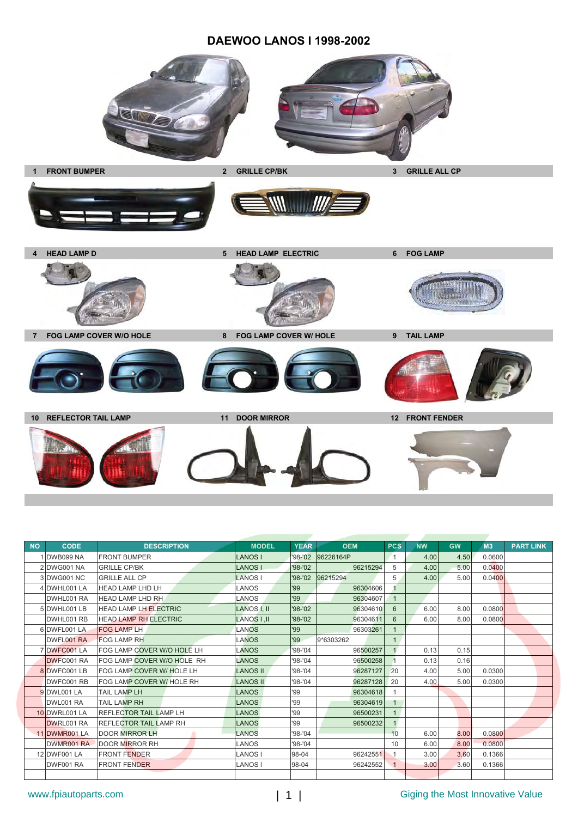#### **DAEWOO LANOS I 1998-2002**



| <b>NO</b> | <b>CODE</b>       | <b>DESCRIPTION</b>            | <b>MODEL</b>    | <b>YEAR</b> | <b>OEM</b>        | <b>PCS</b>   | <b>NW</b> | <b>GW</b> | <b>M3</b> | <b>PART LINK</b> |
|-----------|-------------------|-------------------------------|-----------------|-------------|-------------------|--------------|-----------|-----------|-----------|------------------|
|           | 1 DWB099 NA       | <b>FRONT BUMPER</b>           | <b>LANOS I</b>  |             | '98-'02 96226164P | 1            | 4.00      | 4.50      | 0.0600    |                  |
|           | 2 DWG001 NA       | <b>GRILLE CP/BK</b>           | <b>LANOS</b>    | $98 - 02$   | 96215294          | 5            | 4.00      | 5.00      | 0.0400    |                  |
|           | 3 DWG001 NC       | <b>GRILLE ALL CP</b>          | <b>LANOS</b>    |             | '98-'02 96215294  | 5            | 4.00      | 5.00      | 0.0400    |                  |
|           | 4 DWHL001 LA      | <b>HEAD LAMP LHD LH</b>       | LANOS           | '99         | 96304606          |              |           |           |           |                  |
|           | DWHL001 RA        | <b>HEAD LAMP LHD RH</b>       | LANOS           | '99         | 96304607          | $\mathbf{1}$ |           |           |           |                  |
|           | 5 DWHL001 LB      | <b>HEAD LAMP LH ELECTRIC</b>  | LANOS I, II     | $98 - 02$   | 96304610          | 6            | 6.00      | 8.00      | 0.0800    |                  |
|           | DWHL001 RB        | <b>HEAD LAMP RH ELECTRIC</b>  | LANOS I .II     | '98-'02     | 96304611          | 6            | 6.00      | 8.00      | 0.0800    |                  |
|           | 6 DWFL001 LA      | <b>FOG LAMP LH</b>            | <b>LANOS</b>    | '99         | 96303261          |              |           |           |           |                  |
|           | DWFL001 RA        | <b>FOG LAMP RH</b>            | <b>LANOS</b>    | '99         | 9*6303262         | $\mathbf{1}$ |           |           |           |                  |
|           | 7 DWFC001 LA      | FOG LAMP COVER W/O HOLE LH    | <b>LANOS</b>    | '98-'04     | 96500257          |              | 0.13      | 0.15      |           |                  |
|           | <b>DWFC001 RA</b> | FOG LAMP COVER W/O HOLE RH    | <b>LANOS</b>    | '98-'04     | 96500258          |              | 0.13      | 0.16      |           |                  |
|           | 8 DWFC001 LB      | FOG LAMP COVER W/ HOLE LH     | <b>LANOS II</b> | $98 - 04$   | 96287127          | 20           | 4.00      | 5.00      | 0.0300    |                  |
|           | DWFC001 RB        | FOG LAMP COVER W/ HOLE RH     | <b>LANOS II</b> | '98-'04     | 96287128          | 20           | 4.00      | 5.00      | 0.0300    |                  |
|           | 9 DWL001 LA       | <b>TAIL LAMP LH</b>           | LANOS           | '99         | 96304618          |              |           |           |           |                  |
|           | DWL001 RA         | <b>TAIL LAMP RH</b>           | <b>LANOS</b>    | '99         | 96304619          |              |           |           |           |                  |
|           | 10 DWRL001 LA     | <b>REFLECTOR TAIL LAMP LH</b> | <b>LANOS</b>    | '99         | 96500231          |              |           |           |           |                  |
|           | DWRL001 RA        | <b>REFLECTOR TAIL LAMP RH</b> | LANOS           | '99         | 96500232          |              |           |           |           |                  |
|           | 11 DWMR001 LA     | <b>DOOR MIRROR LH</b>         | <b>LANOS</b>    | $98 - 04$   |                   | 10           | 6.00      | 8.00      | 0.0800    |                  |
|           | DWMR001 RA        | <b>DOOR MIRROR RH</b>         | LANOS           | '98-'04     |                   | 10           | 6.00      | 8.00      | 0.0800    |                  |
|           | 12 DWF001 LA      | <b>FRONT FENDER</b>           | <b>LANOS I</b>  | 98-04       | 96242551          | 1            | 3.00      | 3.60      | 0.1366    |                  |
|           | DWF001 RA         | <b>FRONT FENDER</b>           | <b>LANOS I</b>  | 98-04       | 96242552          |              | 3.00      | 3.60      | 0.1366    |                  |
|           |                   |                               |                 |             |                   |              |           |           |           |                  |

# www.fpiautoparts.com 
<br>
and 
1 | Giging the Most Innovative Value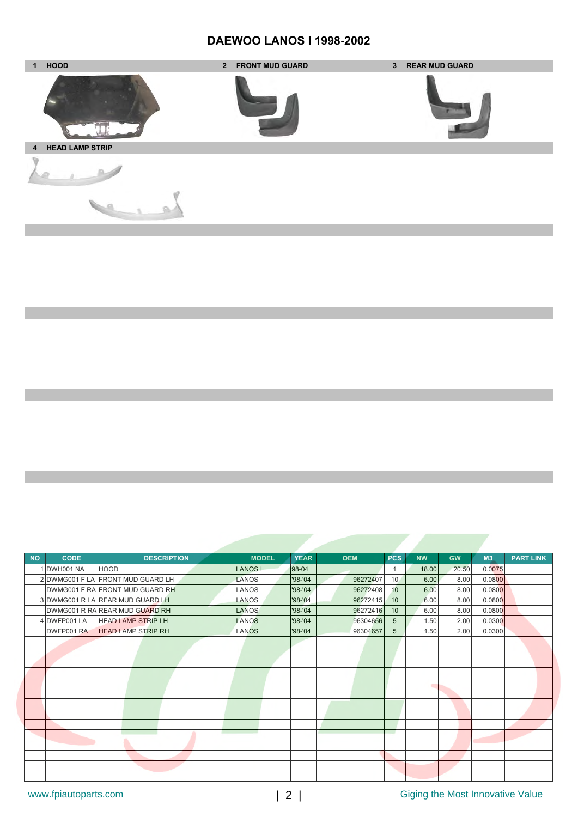# **DAEWOO LANOS I 1998-2002**



| <b>NO</b> | <b>CODE</b>  | <b>DESCRIPTION</b>                | <b>MODEL</b> | <b>YEAR</b> | <b>OEM</b> | <b>PCS</b>      | <b>NW</b> | <b>GW</b> | M3     | <b>PART LINK</b> |
|-----------|--------------|-----------------------------------|--------------|-------------|------------|-----------------|-----------|-----------|--------|------------------|
|           | 1 DWH001 NA  | <b>HOOD</b>                       | <b>LANOS</b> | 98-04       |            | 1               | 18.00     | 20.50     | 0.0075 |                  |
|           |              | 2 DWMG001 F LA FRONT MUD GUARD LH | LANOS        | '98-'04     | 96272407   | 10 <sub>1</sub> | 6.00      | 8.00      | 0.0800 |                  |
|           |              | DWMG001 F RA FRONT MUD GUARD RH   | LANOS        | '98-'04     | 96272408   | 10              | 6.00      | 8.00      | 0.0800 |                  |
|           |              | 3 DWMG001 R LA REAR MUD GUARD LH  | LANOS        | $'98 - '04$ | 96272415   | 10              | 6.00      | 8.00      | 0.0800 |                  |
|           |              | DWMG001 R RA REAR MUD GUARD RH    | LANOS        | $98 - 04$   | 96272416   | 10              | 6.00      | 8.00      | 0.0800 |                  |
|           | 4 DWFP001 LA | <b>HEAD LAMP STRIP LH</b>         | LANOS        | '98-'04     | 96304656   | 5               | 1.50      | 2.00      | 0.0300 |                  |
|           | DWFP001 RA   | <b>HEAD LAMP STRIP RH</b>         | <b>LANOS</b> | '98-'04     | 96304657   | 5               | 1.50      | 2.00      | 0.0300 |                  |
|           |              |                                   |              |             |            |                 |           |           |        |                  |
|           |              |                                   |              |             |            |                 |           |           |        |                  |
|           |              |                                   |              |             |            |                 |           |           |        |                  |
|           |              |                                   |              |             |            |                 |           |           |        |                  |
|           |              |                                   |              |             |            |                 |           |           |        |                  |
|           |              |                                   |              |             |            |                 |           |           |        |                  |
|           |              |                                   |              |             |            |                 |           |           |        |                  |
|           |              |                                   |              |             |            |                 |           |           |        |                  |
|           |              |                                   |              |             |            |                 |           |           |        |                  |
|           |              |                                   |              |             |            |                 |           |           |        |                  |
|           |              |                                   |              |             |            |                 |           |           |        |                  |
|           |              |                                   |              |             |            |                 |           |           |        |                  |
|           |              |                                   |              |             |            |                 |           |           |        |                  |
|           |              |                                   |              |             |            |                 |           |           |        |                  |

# www.fpiautoparts.com  $\vert$  2 | Giging the Most Innovative Value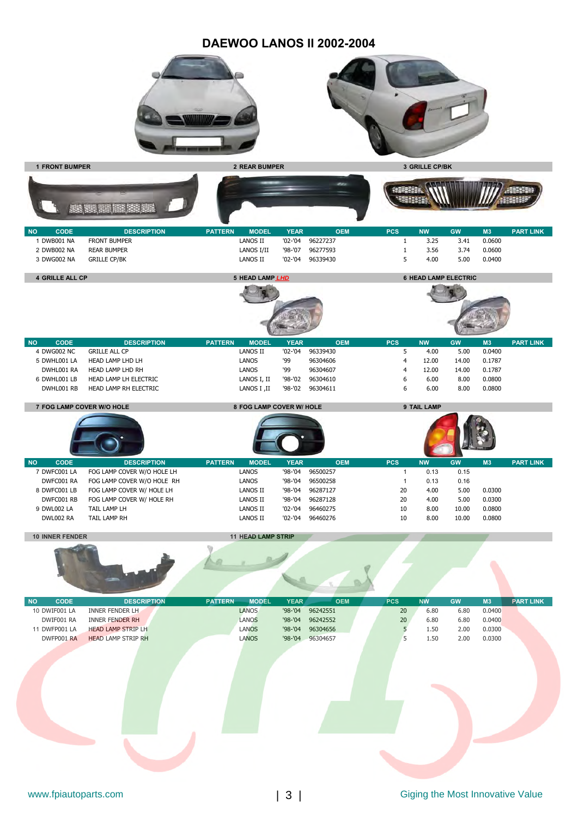#### **DAEWOO LANOS II 2002-2004**





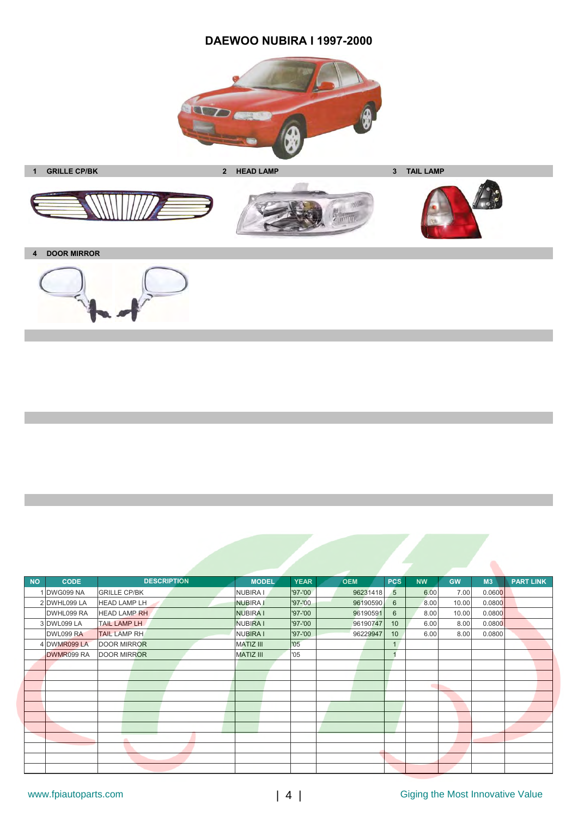# **DAEWOO NUBIRA I 1997-2000**









**4 DOOR MIRROR**



| <b>NO</b> | <b>CODE</b>      | <b>DESCRIPTION</b>  | <b>MODEL</b>     | <b>YEAR</b> | <b>OEM</b> | <b>PCS</b>      | <b>NW</b> | <b>GW</b> | M3     | <b>PART LINK</b> |
|-----------|------------------|---------------------|------------------|-------------|------------|-----------------|-----------|-----------|--------|------------------|
|           | 1 DWG099 NA      | <b>GRILLE CP/BK</b> | <b>NUBIRA I</b>  | '97-'00     | 96231418   | 5               | 6.00      | 7.00      | 0.0600 |                  |
|           | 2 DWHL099 LA     | <b>HEAD LAMP LH</b> | NUBIRA I         | '97-'00     | 96190590   | 6               | 8.00      | 10.00     | 0.0800 |                  |
|           | DWHL099 RA       | <b>HEAD LAMP RH</b> | <b>NUBIRA I</b>  | '97-'00     | 96190591   | 6               | 8.00      | 10.00     | 0.0800 |                  |
|           | 3 DWL099 LA      | <b>TAIL LAMP LH</b> | <b>NUBIRA I</b>  | '97-'00     | 96190747   | 10 <sup>1</sup> | 6.00      | 8.00      | 0.0800 |                  |
|           | <b>DWL099 RA</b> | <b>TAIL LAMP RH</b> | <b>NUBIRA I</b>  | '97-'00     | 96229947   | 10 <sup>°</sup> | 6.00      | 8.00      | 0.0800 |                  |
|           | 4 DWMR099 LA     | <b>DOOR MIRROR</b>  | <b>MATIZ III</b> | '05         |            | 1               |           |           |        |                  |
|           | DWMR099 RA       | <b>DOOR MIRROR</b>  | <b>MATIZ III</b> | '05         |            |                 |           |           |        |                  |
|           |                  |                     |                  |             |            |                 |           |           |        |                  |
|           |                  |                     |                  |             |            |                 |           |           |        |                  |
|           |                  |                     |                  |             |            |                 |           |           |        |                  |
|           |                  |                     |                  |             |            |                 |           |           |        |                  |
|           |                  |                     |                  |             |            |                 |           |           |        |                  |
|           |                  |                     |                  |             |            |                 |           |           |        |                  |
|           |                  |                     |                  |             |            |                 |           |           |        |                  |
|           |                  | m                   |                  |             |            |                 |           |           |        |                  |
|           |                  |                     |                  |             |            |                 |           |           |        |                  |
|           |                  |                     |                  |             |            |                 |           |           |        |                  |
|           |                  |                     |                  |             |            |                 |           |           |        |                  |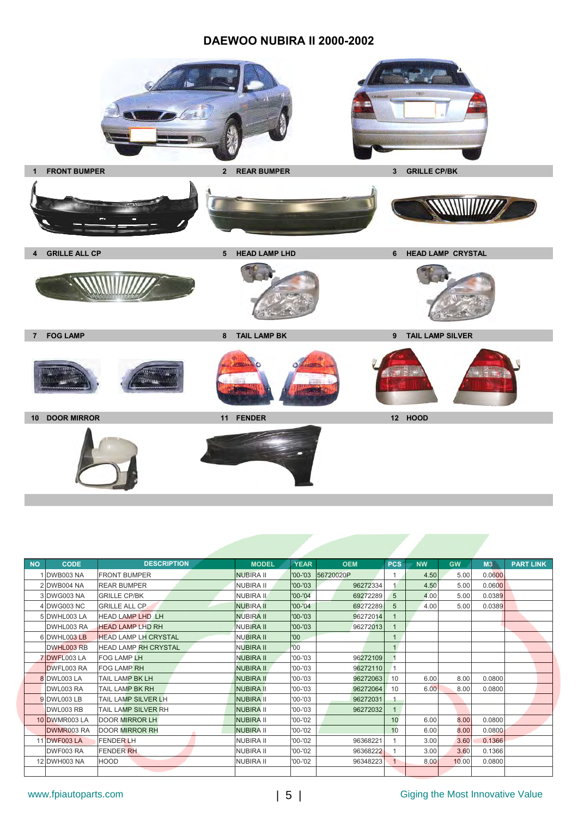### **DAEWOO NUBIRA II 2000-2002**



| <b>NO</b> | <b>CODE</b>      | <b>DESCRIPTION</b>          | <b>MODEL</b>     | <b>YEAR</b> | <b>OEM</b> | <b>PCS</b>   | <b>NW</b> | <b>GW</b> | M3     | <b>PART LINK</b> |
|-----------|------------------|-----------------------------|------------------|-------------|------------|--------------|-----------|-----------|--------|------------------|
|           | <b>DWB003 NA</b> | <b>FRONT BUMPER</b>         | <b>NUBIRA II</b> | '00-'03     | 56720020P  | $\mathbf{1}$ | 4.50      | 5.00      | 0.0600 |                  |
|           | 2 DWB004 NA      | <b>REAR BUMPER</b>          | <b>NUBIRA II</b> | $'00 - '03$ | 96272334   |              | 4.50      | 5.00      | 0.0600 |                  |
|           | 3 DWG003 NA      | <b>GRILLE CP/BK</b>         | <b>NUBIRA II</b> | $'00 - '04$ | 69272289   | 5            | 4.00      | 5.00      | 0.0389 |                  |
|           | 4 DWG003 NC      | <b>GRILLE ALL CP</b>        | <b>NUBIRA II</b> | $'00 - '04$ | 69272289   | 5            | 4.00      | 5.00      | 0.0389 |                  |
|           | 5 DWHL003 LA     | <b>HEAD LAMP LHD LH</b>     | <b>NUBIRA II</b> | $'00 - '03$ | 96272014   |              |           |           |        |                  |
|           | DWHL003 RA       | <b>HEAD LAMP LHD RH</b>     | <b>NUBIRA II</b> | $'00 - '03$ | 96272013   |              |           |           |        |                  |
|           | 6 DWHL003 LB     | <b>HEAD LAMP LH CRYSTAL</b> | <b>NUBIRA II</b> | '00         |            | 1            |           |           |        |                  |
|           | DWHL003 RB       | <b>HEAD LAMP RH CRYSTAL</b> | <b>NUBIRA II</b> | '00'        |            | 1            |           |           |        |                  |
|           | 7 DWFL003 LA     | <b>FOG LAMP LH</b>          | <b>NUBIRA II</b> | $'00 - '03$ | 96272109   |              |           |           |        |                  |
|           | DWFL003 RA       | <b>FOG LAMP RH</b>          | <b>NUBIRA II</b> | $'00 - '03$ | 96272110   |              |           |           |        |                  |
|           | 8 DWL003 LA      | TAIL LAMP BK LH             | <b>NUBIRA II</b> | $'00 - '03$ | 96272063   | 10           | 6.00      | 8.00      | 0.0800 |                  |
|           | DWL003 RA        | <b>TAIL LAMP BK RH</b>      | <b>NUBIRA II</b> | $'00 - '03$ | 96272064   | 10           | 6.00      | 8.00      | 0.0800 |                  |
|           | 9 DWL003 LB      | <b>TAIL LAMP SILVER LH</b>  | <b>NUBIRA II</b> | $'00 - '03$ | 96272031   |              |           |           |        |                  |
|           | DWL003 RB        | <b>TAIL LAMP SILVER RH</b>  | <b>NUBIRA II</b> | $'00 - '03$ | 96272032   | $\mathbf{1}$ |           |           |        |                  |
|           | 10 DWMR003 LA    | <b>DOOR MIRROR LH</b>       | <b>NUBIRA II</b> | $'00 - '02$ |            | 10           | 6.00      | 8.00      | 0.0800 |                  |
|           | DWMR003 RA       | <b>DOOR MIRROR RH</b>       | <b>NUBIRA II</b> | $'00 - '02$ |            | 10           | 6.00      | 8.00      | 0.0800 |                  |
|           | 11 DWF003 LA     | <b>FENDER LH</b>            | <b>NUBIRA II</b> | $'00 - '02$ | 9636822    |              | 3.00      | 3.60      | 0.1366 |                  |
|           | DWF003 RA        | <b>FENDER RH</b>            | <b>NUBIRA II</b> | $'00 - '02$ | 96368222   |              | 3.00      | 3.60      | 0.1366 |                  |
|           | 12 DWH003 NA     | <b>HOOD</b>                 | <b>NUBIRA II</b> | $'00 - '02$ | 96348223   | $\mathbf{1}$ | 8.00      | 10.00     | 0.0800 |                  |
|           |                  |                             |                  |             |            |              |           |           |        |                  |

# www.fpiautoparts.com | 5 | Giging the Most Innovative Value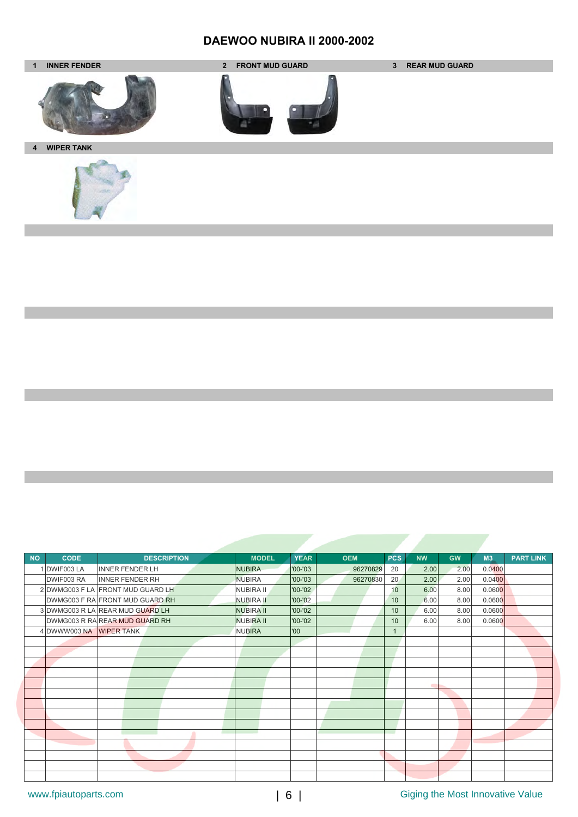# **DAEWOO NUBIRA II 2000-2002**



| <b>CODE</b><br><b>DESCRIPTION</b><br><b>NO</b><br>1 DWIF003 LA<br><b>INNER FENDER LH</b><br>DWIF003 RA<br><b>INNER FENDER RH</b> | <b>MODEL</b>     | <b>YEAR</b> |            |            |           |           |        |                  |
|----------------------------------------------------------------------------------------------------------------------------------|------------------|-------------|------------|------------|-----------|-----------|--------|------------------|
|                                                                                                                                  |                  |             | <b>OEM</b> | <b>PCS</b> | <b>NW</b> | <b>GW</b> | M3     | <b>PART LINK</b> |
|                                                                                                                                  | <b>NUBIRA</b>    | $'00 - '03$ | 96270829   | 20         | 2.00      | 2.00      | 0.0400 |                  |
|                                                                                                                                  | <b>NUBIRA</b>    | '00-'03     | 96270830   | 20         | 2.00      | 2.00      | 0.0400 |                  |
| 2 DWMG003 F LA FRONT MUD GUARD LH                                                                                                | <b>NUBIRA II</b> | '00-'02     |            | 10         | 6.00      | 8.00      | 0.0600 |                  |
| DWMG003 F RA FRONT MUD GUARD RH                                                                                                  | <b>NUBIRA II</b> | '00-'02     |            | 10         | 6.00      | 8.00      | 0.0600 |                  |
| 3 DWMG003 R LA REAR MUD GUARD LH                                                                                                 | <b>NUBIRA II</b> | $'00 - '02$ |            | 10         | 6.00      | 8.00      | 0.0600 |                  |
| DWMG003 R RA REAR MUD GUARD RH                                                                                                   | <b>NUBIRA II</b> | '00-'02     |            | 10         | 6.00      | 8.00      | 0.0600 |                  |
| 4 DWWW003 NA WIPER TANK                                                                                                          | <b>NUBIRA</b>    | '00         |            |            |           |           |        |                  |
|                                                                                                                                  |                  |             |            |            |           |           |        |                  |
|                                                                                                                                  |                  |             |            |            |           |           |        |                  |
|                                                                                                                                  |                  |             |            |            |           |           |        |                  |
|                                                                                                                                  |                  |             |            |            |           |           |        |                  |
|                                                                                                                                  |                  |             |            |            |           |           |        |                  |
|                                                                                                                                  |                  |             |            |            |           |           |        |                  |
|                                                                                                                                  |                  |             |            |            |           |           |        |                  |
|                                                                                                                                  |                  |             |            |            |           |           |        |                  |
|                                                                                                                                  |                  |             |            |            |           |           |        |                  |
|                                                                                                                                  |                  |             |            |            |           |           |        |                  |
|                                                                                                                                  |                  |             |            |            |           |           |        |                  |
|                                                                                                                                  |                  |             |            |            |           |           |        |                  |
|                                                                                                                                  |                  |             |            |            |           |           |        |                  |
|                                                                                                                                  |                  |             |            |            |           |           |        |                  |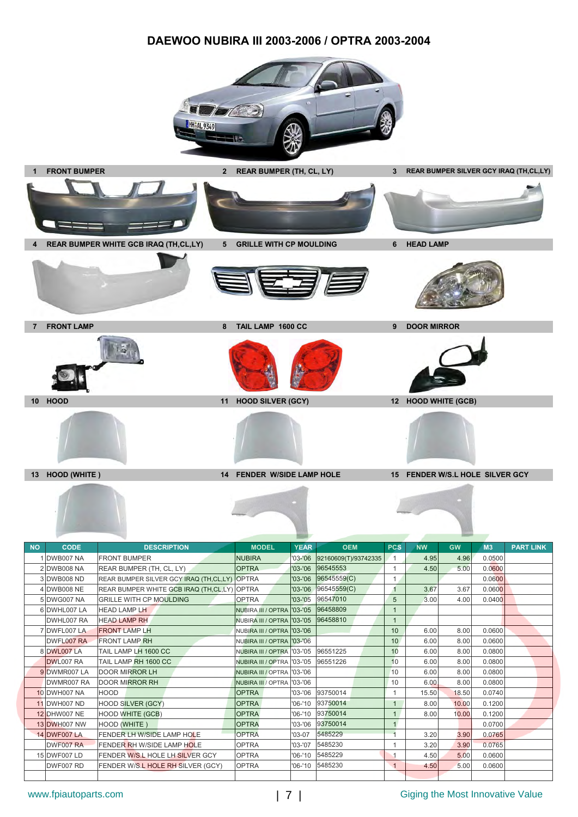### **DAEWOO NUBIRA III 2003-2006 / OPTRA 2003-2004**